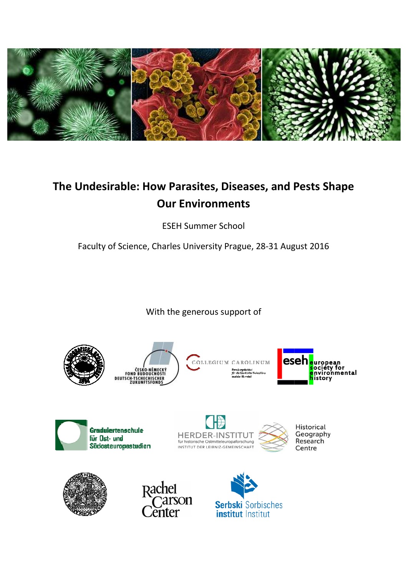

# **The Undesirable: How Parasites, Diseases, and Pests Shape Our Environments**

ESEH Summer School

Faculty of Science, Charles University Prague, 28-31 August 2016 31

With the generous support of



ČESKO-NĚMECKÝ<br>FOND BUDOUCNOSTI<br>DEUTSCH-TSCHECHISCHER<br>ZUKUNFTSFOND<u>S</u>

COLLEGIUM CAROLINUM













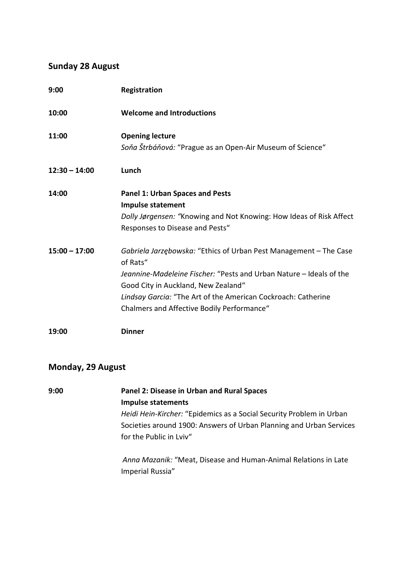### **Sunday 28 August**

| 9:00            | Registration                                                                                                                                                                                                                                                                                               |
|-----------------|------------------------------------------------------------------------------------------------------------------------------------------------------------------------------------------------------------------------------------------------------------------------------------------------------------|
| 10:00           | <b>Welcome and Introductions</b>                                                                                                                                                                                                                                                                           |
| 11:00           | <b>Opening lecture</b><br>Soňa Štrbáňová: "Prague as an Open-Air Museum of Science"                                                                                                                                                                                                                        |
| $12:30 - 14:00$ | Lunch                                                                                                                                                                                                                                                                                                      |
| 14:00           | <b>Panel 1: Urban Spaces and Pests</b><br><b>Impulse statement</b><br>Dolly Jørgensen: "Knowing and Not Knowing: How Ideas of Risk Affect<br>Responses to Disease and Pests"                                                                                                                               |
| $15:00 - 17:00$ | Gabriela Jarzębowska: "Ethics of Urban Pest Management - The Case<br>of Rats"<br>Jeannine-Madeleine Fischer: "Pests and Urban Nature - Ideals of the<br>Good City in Auckland, New Zealand"<br>Lindsay Garcia: "The Art of the American Cockroach: Catherine<br>Chalmers and Affective Bodily Performance" |
| 19:00           | <b>Dinner</b>                                                                                                                                                                                                                                                                                              |

#### **Monday, 29 August**

**9:00 Panel 2: Disease in Urban and Rural Spaces Impulse statements**  *Heidi Hein-Kircher:* "Epidemics as a Social Security Problem in Urban Societies around 1900: Answers of Urban Planning and Urban Services for the Public in Lviv" *Anna Mazanik:* "Meat, Disease and Human-Animal Relations in Late

Imperial Russia"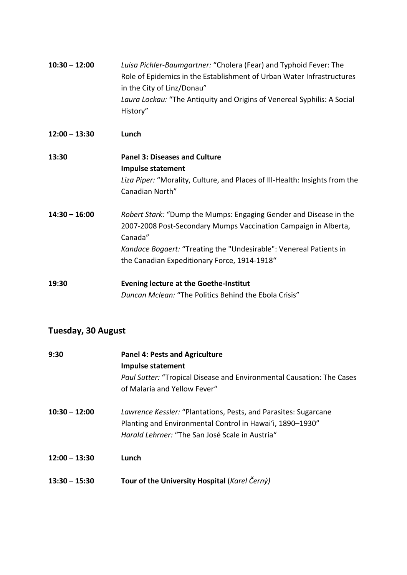| $10:30 - 12:00$ | Luisa Pichler-Baumgartner: "Cholera (Fear) and Typhoid Fever: The<br>Role of Epidemics in the Establishment of Urban Water Infrastructures<br>in the City of Linz/Donau"<br>Laura Lockau: "The Antiquity and Origins of Venereal Syphilis: A Social<br>History"       |
|-----------------|-----------------------------------------------------------------------------------------------------------------------------------------------------------------------------------------------------------------------------------------------------------------------|
| $12:00 - 13:30$ | Lunch                                                                                                                                                                                                                                                                 |
| 13:30           | <b>Panel 3: Diseases and Culture</b><br>Impulse statement<br>Liza Piper: "Morality, Culture, and Places of Ill-Health: Insights from the<br>Canadian North"                                                                                                           |
| $14:30 - 16:00$ | Robert Stark: "Dump the Mumps: Engaging Gender and Disease in the<br>2007-2008 Post-Secondary Mumps Vaccination Campaign in Alberta,<br>Canada"<br>Kandace Bogaert: "Treating the "Undesirable": Venereal Patients in<br>the Canadian Expeditionary Force, 1914-1918" |
| 19:30           | <b>Evening lecture at the Goethe-Institut</b><br>Duncan Mclean: "The Politics Behind the Ebola Crisis"                                                                                                                                                                |

## **Tuesday, 30 August**

| 9:30            | <b>Panel 4: Pests and Agriculture</b><br><b>Impulse statement</b>                                                                                                               |
|-----------------|---------------------------------------------------------------------------------------------------------------------------------------------------------------------------------|
|                 | Paul Sutter: "Tropical Disease and Environmental Causation: The Cases<br>of Malaria and Yellow Fever"                                                                           |
| $10:30 - 12:00$ | Lawrence Kessler: "Plantations, Pests, and Parasites: Sugarcane<br>Planting and Environmental Control in Hawai'i, 1890–1930"<br>Harald Lehrner: "The San José Scale in Austria" |
| $12:00 - 13:30$ | Lunch                                                                                                                                                                           |
| $13:30 - 15:30$ | Tour of the University Hospital (Karel Černý)                                                                                                                                   |